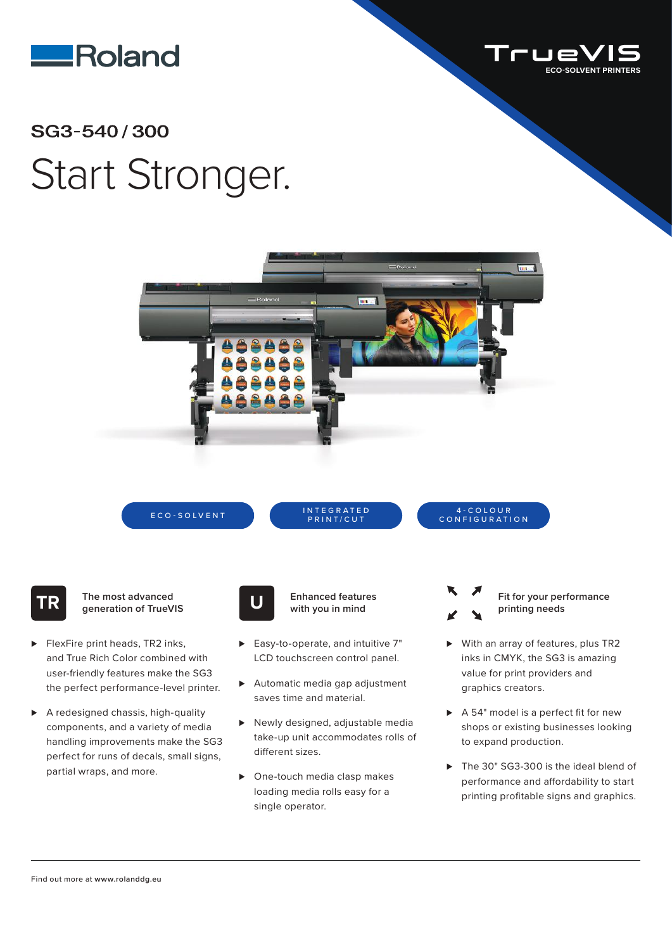



## SG3-540/300 Start Stronger.



ECO-SOLVENT INTEGRATED PRINT/CUT

## 4 - C O L O U R CONFIGURATION

**TR The most advanced generation of TrueVIS**

- ► FlexFire print heads, TR2 inks, and True Rich Color combined with user-friendly features make the SG3 the perfect performance-level printer.
- ⊲ A redesigned chassis, high-quality components, and a variety of media handling improvements make the SG3 perfect for runs of decals, small signs, partial wraps, and more.



**Enhanced features U with you in mind**

- ► Easy-to-operate, and intuitive 7" LCD touchscreen control panel.
- ▶ Automatic media gap adjustment saves time and material.
- ► Newly designed, adjustable media take-up unit accommodates rolls of different sizes.
- ▶ One-touch media clasp makes loading media rolls easy for a single operator.
- **Fit for your performance printing needs**
- ► With an array of features, plus TR2 inks in CMYK, the SG3 is amazing value for print providers and graphics creators.
- ► A 54" model is a perfect fit for new shops or existing businesses looking to expand production.
- ► The 30" SG3-300 is the ideal blend of performance and affordability to start printing profitable signs and graphics.